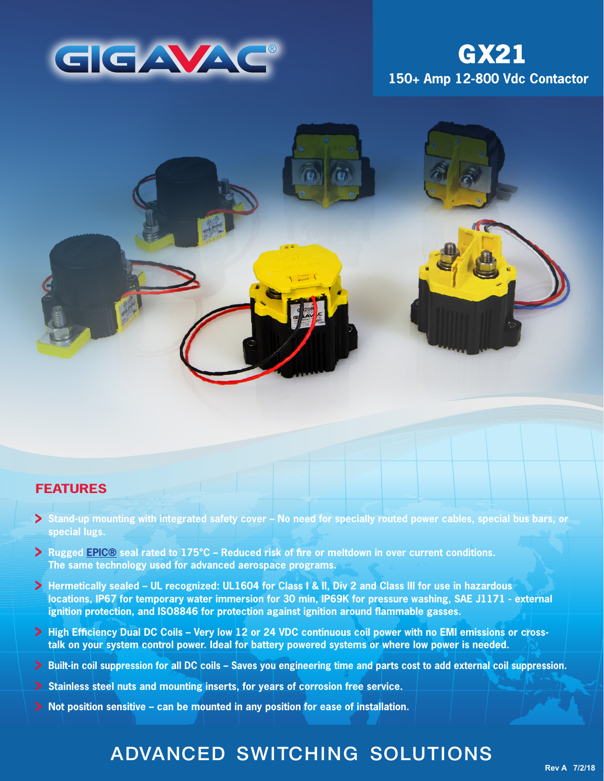

# **150+ Amp 12-800 Vdc Contactor GX21**



## **FEATURES**

- **Stand-up mounting with integrated safety cover No need for specially routed power cables, special bus bars, or special lugs.**
- **Rugged [EPIC®](http://www.gigavac.com/application-notes/power-products/gigavac-patended-epic-technology) seal rated to 175°C Reduced risk of fire or meltdown in over current conditions. The same technology used for advanced aerospace programs.**
- **Hermetically sealed UL recognized: UL1604 for Class I & II, Div 2 and Class III for use in hazardous locations, IP67 for temporary water immersion for 30 min, IP69K for pressure washing, SAE J1171 - external ignition protection, and ISO8846 for protection against ignition around flammable gasses.**
- > High Efficiency Dual DC Coils Very low 12 or 24 VDC continuous coil power with no EMI emissions or cross**talk on your system control power. Ideal for battery powered systems or where low power is needed.**
- **Built-in coil suppression for all DC coils Saves you engineering time and parts cost to add external coil suppression.**
- **Stainless steel nuts and mounting inserts, for years of corrosion free service.**
- **Not position sensitive can be mounted in any position for ease of installation.**

## ADVANCED SWITCHING SOLUTIONS

**Rev A 7/2/18**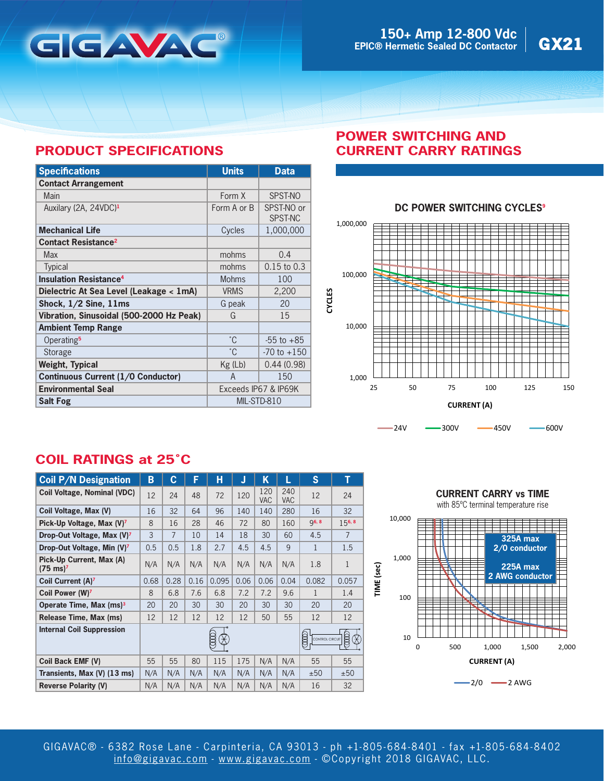

## **PRODUCT SPECIFICATIONS**

| <b>Specifications</b>                     | <b>Units</b> | <b>Data</b>           |  |  |
|-------------------------------------------|--------------|-----------------------|--|--|
| <b>Contact Arrangement</b>                |              |                       |  |  |
| Main                                      | Form X       | SPST-NO               |  |  |
| Auxilary (2A, 24VDC) <sup>1</sup>         | Form A or B  | SPST-NO or<br>SPST-NC |  |  |
| <b>Mechanical Life</b>                    | Cycles       | 1,000,000             |  |  |
| <b>Contact Resistance<sup>2</sup></b>     |              |                       |  |  |
| Max                                       | mohms        | 0.4                   |  |  |
| <b>Typical</b>                            | mohms        | $0.15$ to $0.3$       |  |  |
| <b>Insulation Resistance<sup>4</sup></b>  | <b>Mohms</b> | 100                   |  |  |
| Dielectric At Sea Level (Leakage < 1mA)   | <b>VRMS</b>  | 2,200                 |  |  |
| Shock, $1/2$ Sine, $11ms$                 | G peak       | 20                    |  |  |
| Vibration, Sinusoidal (500-2000 Hz Peak)  | G            | 15                    |  |  |
| <b>Ambient Temp Range</b>                 |              |                       |  |  |
| Operating <sup>5</sup>                    | °C           | $-55$ to $+85$        |  |  |
| Storage                                   | $^{\circ}$ C | $-70$ to $+150$       |  |  |
| Weight, Typical                           | $Kg$ (Lb)    | 0.44(0.98)            |  |  |
| <b>Continuous Current (1/0 Conductor)</b> | A            | 150                   |  |  |
| <b>Environmental Seal</b>                 |              | Exceeds IP67 & IP69K  |  |  |
| <b>Salt Fog</b>                           | MIL-STD-810  |                       |  |  |

## **POWER SWITCHING AND CURRENT CARRY RATINGS**

## **DC POWER SWITCHING CYCLES<sup>9</sup>**



**COIL RATINGS at 25˚C**

| <b>Coil P/N Designation</b>                     | B                                                  | C              | F    | н     | J    | Κ                 | L                 | S            | т              |
|-------------------------------------------------|----------------------------------------------------|----------------|------|-------|------|-------------------|-------------------|--------------|----------------|
| <b>Coil Voltage, Nominal (VDC)</b>              | 12                                                 | 24             | 48   | 72    | 120  | 120<br><b>VAC</b> | 240<br><b>VAC</b> | 12           | 24             |
| Coil Voltage, Max (V)                           | 16                                                 | 32             | 64   | 96    | 140  | 140               | 280               | 16           | 32             |
| Pick-Up Voltage, Max (V) <sup>7</sup>           | 8                                                  | 16             | 28   | 46    | 72   | 80                | 160               | <b>g6, 8</b> | 156, 8         |
| Drop-Out Voltage, Max (V) <sup>7</sup>          | 3                                                  | $\overline{7}$ | 10   | 14    | 18   | 30                | 60                | 4.5          | $\overline{7}$ |
| Drop-Out Voltage, Min (V) <sup>7</sup>          | 0.5                                                | 0.5            | 1.8  | 2.7   | 4.5  | 4.5               | 9                 | 1            | 1.5            |
| Pick-Up Current, Max (A)<br>$(75 \text{ ms})^7$ | N/A                                                | N/A            | N/A  | N/A   | N/A  | N/A               | N/A               | 1.8          | 1              |
| Coil Current (A) <sup>7</sup>                   | 0.68                                               | 0.28           | 0.16 | 0.095 | 0.06 | 0.06              | 0.04              | 0.082        | 0.057          |
| Coil Power (W) <sup>7</sup>                     | 8                                                  | 6.8            | 7.6  | 6.8   | 7.2  | 7.2               | 9.6               | $\mathbf{1}$ | 1.4            |
| Operate Time, Max (ms) <sup>3</sup>             | 20                                                 | 20             | 30   | 30    | 20   | 30                | 30                | 20           | 20             |
| Release Time, Max (ms)                          | 12                                                 | 12             | 12   | 12    | 12   | 50                | 55                | 12           | 12             |
| <b>Internal Coil Suppression</b>                | @00<br>E<br>$\cdot \hat{\star}$<br>CONTROL CIRCUIT |                |      |       |      |                   |                   | 8            |                |
| Coil Back EMF (V)                               | 55                                                 | 55             | 80   | 115   | 175  | N/A               | N/A               | 55           | 55             |
| Transients, Max (V) (13 ms)                     | N/A                                                | N/A            | N/A  | N/A   | N/A  | N/A               | N/A               | ±50          | ±50            |
| <b>Reverse Polarity (V)</b>                     | N/A                                                | N/A            | N/A  | N/A   | N/A  | N/A               | N/A               | 16           | 32             |



 $-2/0$   $-2$  AWG

GIGAVAC® - 6382 Rose Lane - Carpinteria, CA 93013 - ph +1-805- 684-8401 - fax +1-805- 684-8402 [info@gigavac.com](mailto:info@gigavac.com) - <www.gigavac.com> - ©Copyright 2018 GIGAVAC, LLC.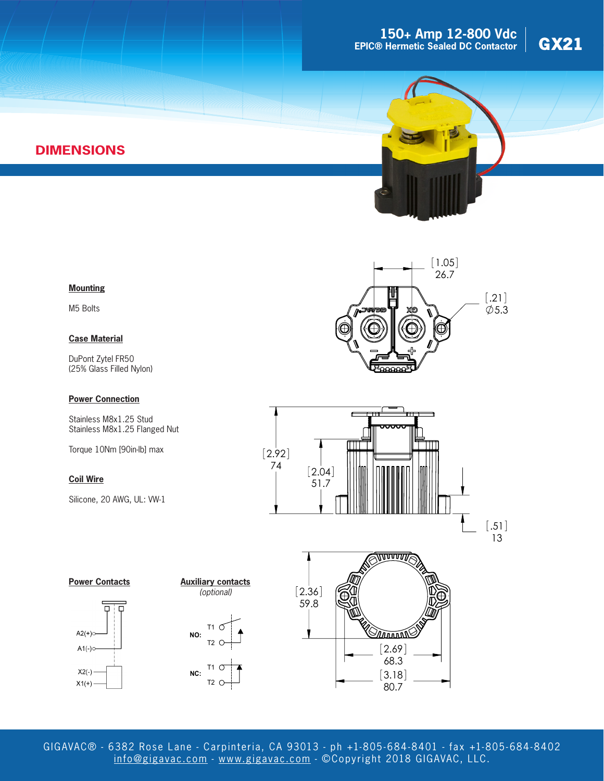## **150+ Amp 12-800 Vdc**<br> **e** Hermetic Sealed DC Contactor GX21 **EPIC® Hermetic Sealed DC Contactor**





## **DIMENSIONS**

#### **Mounting**

M5 Bolts

#### **Case Material**

DuPont Zytel FR50 (25% Glass Filled Nylon)

#### **Power Connection**

Stainless M8x1.25 Stud Stainless M8x1.25 Flanged Nut

Torque 10Nm [90in-lb] max

#### **Coil Wire**

Silicone, 20 AWG, UL: VW-1